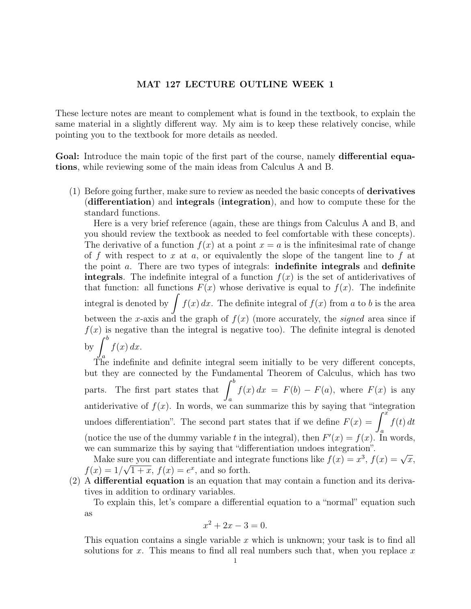## MAT 127 LECTURE OUTLINE WEEK 1

These lecture notes are meant to complement what is found in the textbook, to explain the same material in a slightly different way. My aim is to keep these relatively concise, while pointing you to the textbook for more details as needed.

Goal: Introduce the main topic of the first part of the course, namely differential equations, while reviewing some of the main ideas from Calculus A and B.

 $(1)$  Before going further, make sure to review as needed the basic concepts of **derivatives** (differentiation) and integrals (integration), and how to compute these for the standard functions.

Here is a very brief reference (again, these are things from Calculus A and B, and you should review the textbook as needed to feel comfortable with these concepts). The derivative of a function  $f(x)$  at a point  $x = a$  is the infinitesimal rate of change of f with respect to x at a, or equivalently the slope of the tangent line to f at the point a. There are two types of integrals: indefinite integrals and definite integrals. The indefinite integral of a function  $f(x)$  is the set of antiderivatives of that function: all functions  $F(x)$  whose derivative is equal to  $f(x)$ . The indefinite integral is denoted by  $\int f(x) dx$ . The definite integral of  $f(x)$  from a to b is the area between the x-axis and the graph of  $f(x)$  (more accurately, the *signed* area since if  $f(x)$  is negative than the integral is negative too). The definite integral is denoted by  $\int_{}^{b} f(x) dx$ .

 $J_a$ <br>The indefinite and definite integral seem initially to be very different concepts, but they are connected by the Fundamental Theorem of Calculus, which has two parts. The first part states that  $\int^b$ a  $f(x) dx = F(b) - F(a)$ , where  $F(x)$  is any antiderivative of  $f(x)$ . In words, we can summarize this by saying that "integration" undoes differentiation". The second part states that if we define  $F(x) = \int^x$ a  $f(t) dt$ (notice the use of the dummy variable t in the integral), then  $F'(x) = f(x)$ . In words, we can summarize this by saying that "differentiation undoes integration".

From summarize this by saying that differentiation undoes integration.<br>Make sure you can differentiate and integrate functions like  $f(x) = x^3$ ,  $f(x) = \sqrt{x}$ ,  $f(x) = 1/\sqrt{1+x}$ ,  $f(x) = e^x$ , and so forth.

(2) A differential equation is an equation that may contain a function and its derivatives in addition to ordinary variables.

To explain this, let's compare a differential equation to a "normal" equation such as

$$
x^2 + 2x - 3 = 0.
$$

This equation contains a single variable  $x$  which is unknown; your task is to find all solutions for x. This means to find all real numbers such that, when you replace x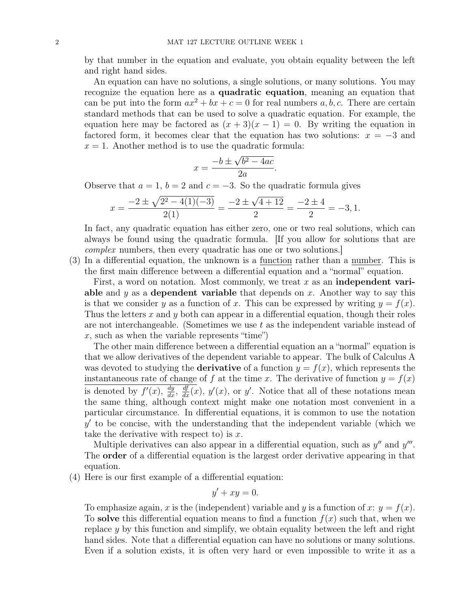by that number in the equation and evaluate, you obtain equality between the left and right hand sides.

An equation can have no solutions, a single solutions, or many solutions. You may recognize the equation here as a quadratic equation, meaning an equation that can be put into the form  $ax^2 + bx + c = 0$  for real numbers a, b, c. There are certain standard methods that can be used to solve a quadratic equation. For example, the equation here may be factored as  $(x+3)(x-1) = 0$ . By writing the equation in factored form, it becomes clear that the equation has two solutions:  $x = -3$  and  $x = 1$ . Another method is to use the quadratic formula:

.

$$
x = \frac{-b \pm \sqrt{b^2 - 4ac}}{2a}
$$

Observe that  $a = 1$ ,  $b = 2$  and  $c = -3$ . So the quadratic formula gives

$$
x = \frac{-2 \pm \sqrt{2^2 - 4(1)(-3)}}{2(1)} = \frac{-2 \pm \sqrt{4+12}}{2} = \frac{-2 \pm 4}{2} = -3, 1.
$$

In fact, any quadratic equation has either zero, one or two real solutions, which can always be found using the quadratic formula. [If you allow for solutions that are complex numbers, then every quadratic has one or two solutions.]

(3) In a differential equation, the unknown is a function rather than a number. This is the first main difference between a differential equation and a "normal" equation.

First, a word on notation. Most commonly, we treat x as an **independent vari**able and y as a dependent variable that depends on x. Another way to say this is that we consider y as a function of x. This can be expressed by writing  $y = f(x)$ . Thus the letters x and y both can appear in a differential equation, though their roles are not interchangeable. (Sometimes we use  $t$  as the independent variable instead of  $x$ , such as when the variable represents "time")

The other main difference between a differential equation an a "normal" equation is that we allow derivatives of the dependent variable to appear. The bulk of Calculus A was devoted to studying the **derivative** of a function  $y = f(x)$ , which represents the instantaneous rate of change of f at the time x. The derivative of function  $y = f(x)$ is denoted by  $f'(x)$ ,  $\frac{dy}{dx}$ ,  $\frac{df}{dx}(x)$ ,  $y'(x)$ , or y'. Notice that all of these notations mean the same thing, although context might make one notation most convenient in a particular circumstance. In differential equations, it is common to use the notation  $y'$  to be concise, with the understanding that the independent variable (which we take the derivative with respect to) is  $x$ .

Multiple derivatives can also appear in a differential equation, such as  $y''$  and  $y'''$ . The order of a differential equation is the largest order derivative appearing in that equation.

(4) Here is our first example of a differential equation:

$$
y' + xy = 0.
$$

To emphasize again, x is the (independent) variable and y is a function of x:  $y = f(x)$ . To solve this differential equation means to find a function  $f(x)$  such that, when we replace  $\gamma$  by this function and simplify, we obtain equality between the left and right hand sides. Note that a differential equation can have no solutions or many solutions. Even if a solution exists, it is often very hard or even impossible to write it as a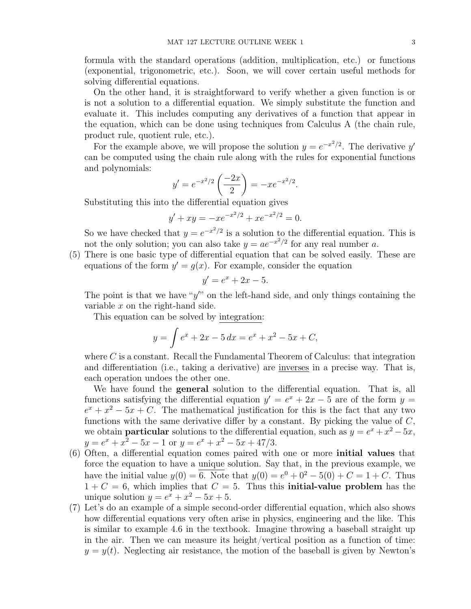formula with the standard operations (addition, multiplication, etc.) or functions (exponential, trigonometric, etc.). Soon, we will cover certain useful methods for solving differential equations.

On the other hand, it is straightforward to verify whether a given function is or is not a solution to a differential equation. We simply substitute the function and evaluate it. This includes computing any derivatives of a function that appear in the equation, which can be done using techniques from Calculus A (the chain rule, product rule, quotient rule, etc.).

For the example above, we will propose the solution  $y = e^{-x^2/2}$ . The derivative y' can be computed using the chain rule along with the rules for exponential functions and polynomials:

$$
y' = e^{-x^2/2} \left(\frac{-2x}{2}\right) = -xe^{-x^2/2}.
$$

Substituting this into the differential equation gives

$$
y' + xy = -xe^{-x^2/2} + xe^{-x^2/2} = 0.
$$

So we have checked that  $y = e^{-x^2/2}$  is a solution to the differential equation. This is not the only solution; you can also take  $y = ae^{-x^2/2}$  for any real number a.

(5) There is one basic type of differential equation that can be solved easily. These are equations of the form  $y' = g(x)$ . For example, consider the equation

$$
y' = e^x + 2x - 5.
$$

The point is that we have " $y''$ " on the left-hand side, and only things containing the variable x on the right-hand side.

This equation can be solved by integration:

$$
y = \int e^x + 2x - 5 dx = e^x + x^2 - 5x + C,
$$

where  $C$  is a constant. Recall the Fundamental Theorem of Calculus: that integration and differentiation (i.e., taking a derivative) are inverses in a precise way. That is, each operation undoes the other one.

We have found the general solution to the differential equation. That is, all functions satisfying the differential equation  $y' = e^x + 2x - 5$  are of the form  $y =$  $e^x + x^2 - 5x + C$ . The mathematical justification for this is the fact that any two functions with the same derivative differ by a constant. By picking the value of  $C$ , we obtain **particular** solutions to the differential equation, such as  $y = e^x + x^2 - 5x$ ,  $y = e^x + x^2 - 5x - 1$  or  $y = e^x + x^2 - 5x + 47/3$ .

- (6) Often, a differential equation comes paired with one or more initial values that force the equation to have a unique solution. Say that, in the previous example, we have the initial value  $y(0) = 6$ . Note that  $y(0) = e^{0} + 0^{2} - 5(0) + C = 1 + C$ . Thus  $1 + C = 6$ , which implies that  $C = 5$ . Thus this **initial-value problem** has the unique solution  $y = e^x + x^2 - 5x + 5$ .
- (7) Let's do an example of a simple second-order differential equation, which also shows how differential equations very often arise in physics, engineering and the like. This is similar to example 4.6 in the textbook. Imagine throwing a baseball straight up in the air. Then we can measure its height/vertical position as a function of time:  $y = y(t)$ . Neglecting air resistance, the motion of the baseball is given by Newton's